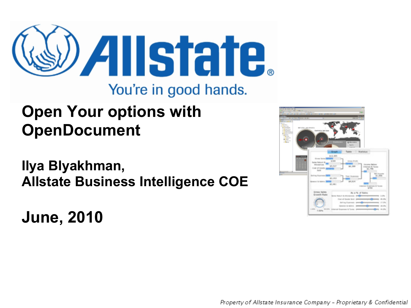

# You're in good hands.

# **Open Your options with OpenDocument**

**Ilya Blyakhman, Allstate Business Intelligence COE**

**June, 2010**

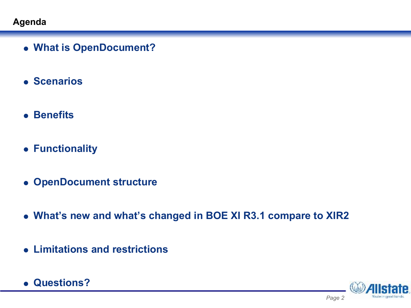- **What is OpenDocument?**
- **Scenarios**
- **Benefits**
- **Functionality**
- **OpenDocument structure**
- **What's new and what's changed in BOE XI R3.1 compare to XIR2**
- **Limitations and restrictions**
- **Questions?**

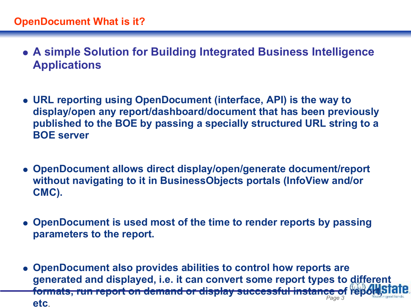#### **OpenDocument What is it?**

- **A simple Solution for Building Integrated Business Intelligence Applications**
- **URL reporting using OpenDocument (interface, API) is the way to display/open any report/dashboard/document that has been previously published to the BOE by passing a specially structured URL string to a BOE server**
- **OpenDocument allows direct display/open/generate document/report without navigating to it in BusinessObjects portals (InfoView and/or CMC).**
- **OpenDocument is used most of the time to render reports by passing parameters to the report.**
- *Page 3* **OpenDocument also provides abilities to control how reports are generated and displayed, i.e. it can convert some report types to different formats, run report on demand or display successful instance of report, etc**.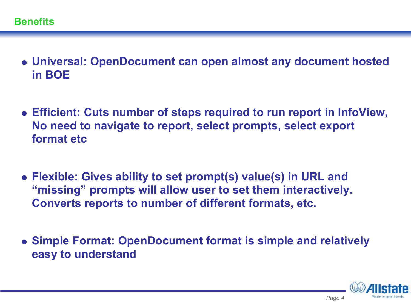- **Universal: OpenDocument can open almost any document hosted in BOE**
- **Efficient: Cuts number of steps required to run report in InfoView, No need to navigate to report, select prompts, select export format etc**
- **Flexible: Gives ability to set prompt(s) value(s) in URL and "missing" prompts will allow user to set them interactively. Converts reports to number of different formats, etc.**
- **Simple Format: OpenDocument format is simple and relatively easy to understand**

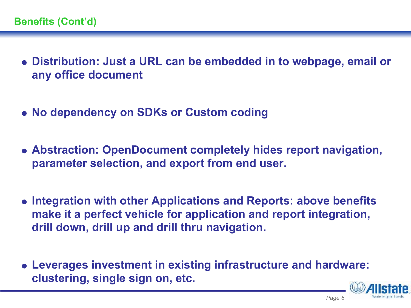- **Distribution: Just a URL can be embedded in to webpage, email or any office document**
- **No dependency on SDKs or Custom coding**
- **Abstraction: OpenDocument completely hides report navigation, parameter selection, and export from end user.**
- **Integration with other Applications and Reports: above benefits make it a perfect vehicle for application and report integration, drill down, drill up and drill thru navigation.**
- **Leverages investment in existing infrastructure and hardware: clustering, single sign on, etc.**

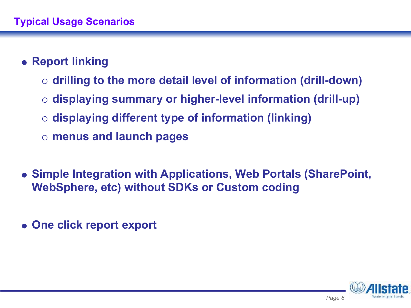# **Report linking**

- **drilling to the more detail level of information (drill-down)**
- **displaying summary or higher-level information (drill-up)**
- **displaying different type of information (linking)**
- **menus and launch pages**
- **Simple Integration with Applications, Web Portals (SharePoint, WebSphere, etc) without SDKs or Custom coding**
- **One click report export**

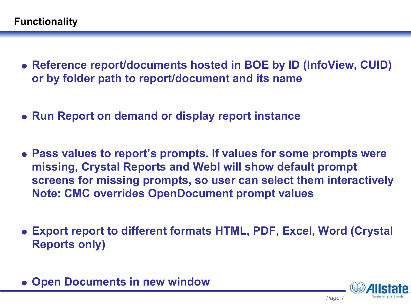- **Reference report/documents hosted in BOE by ID (InfoView, CUID) or by folder path to report/document and its name**
- **Run Report on demand or display report instance**
- **Pass values to report's prompts. If values for some prompts were missing, Crystal Reports and WebI will show default prompt screens for missing prompts, so user can select them interactively Note: CMC overrides OpenDocument prompt values**
- **Export report to different formats HTML, PDF, Excel, Word (Crystal Reports only)**
- **Open Documents in new window**

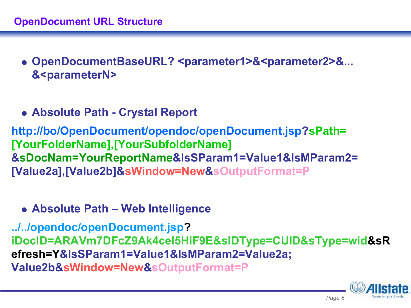- **OpenDocumentBaseURL? <parameter1>&<parameter2>&... &<parameterN>**
- **Absolute Path Crystal Report**

**http://bo/OpenDocument/opendoc/openDocument.jsp?sPath= [YourFolderName],[YourSubfolderName] &sDocNam=YourReportName&lsSParam1=Value1&lsMParam2= [Value2a],[Value2b]&sWindow=New&sOutputFormat=P**

**Absolute Path – Web Intelligence**

**../../opendoc/openDocument.jsp? iDocID=ARAVm7DFcZ9Ak4ceI5HiF9E&sIDType=CUID&sType=wid&sR efresh=Y&lsSParam1=Value1&lsMParam2=Value2a; Value2b&sWindow=New&sOutputFormat=P**

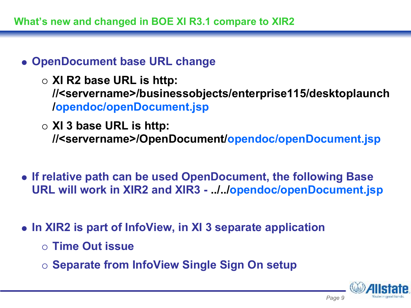## **OpenDocument base URL change**

**XI R2 base URL is http:**

**//<servername>/businessobjects/enterprise115/desktoplaunch /opendoc/openDocument.jsp**

- **XI 3 base URL is http: //<servername>/OpenDocument/opendoc/openDocument.jsp**
- **If relative path can be used OpenDocument, the following Base**  URL will work in XIR2 and XIR3 - . / . /opendoc/openDocument.jsp
- **In XIR2 is part of InfoView, in XI 3 separate application** 
	- **Time Out issue**
	- **Separate from InfoView Single Sign On setup**

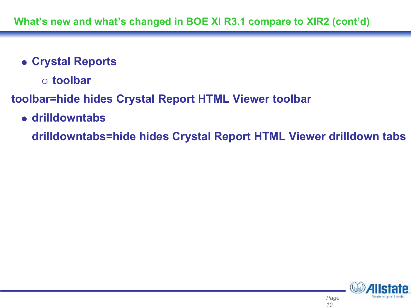- **Crystal Reports**
	- **toolbar**
- **toolbar=hide hides Crystal Report HTML Viewer toolbar**
	- **drilldowntabs**

**drilldowntabs=hide hides Crystal Report HTML Viewer drilldown tabs** 

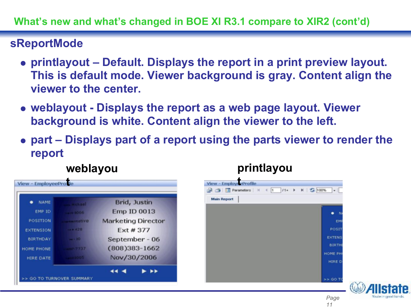### **What's new and what's changed in BOE XI R3.1 compare to XIR2 (cont'd)**

## **sReportMode**

- **printlayout Default. Displays the report in a print preview layout. This is default mode. Viewer background is gray. Content align the viewer to the center.**
- **weblayout Displays the report as a web page layout. Viewer background is white. Content align the viewer to the left.**
- **part Displays part of a report using the parts viewer to render the report**

### **weblayou**



## **printlayou**



*Page 11*

You're in grout franch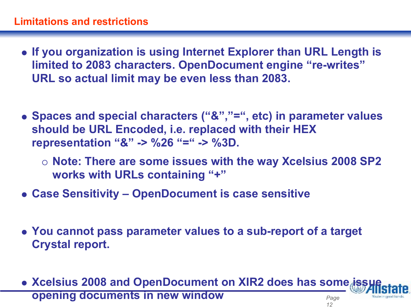#### **Limitations and restrictions**

- **If you organization is using Internet Explorer than URL Length is limited to 2083 characters. OpenDocument engine "re-writes" URL so actual limit may be even less than 2083.**
- **Spaces and special characters ("&","=", etc) in parameter values should be URL Encoded, i.e. replaced with their HEX representation "&" -> %26 "=" -> %3D.** 
	- **Note: There are some issues with the way Xcelsius 2008 SP2 works with URLs containing "+"**
- **Case Sensitivity OpenDocument is case sensitive**
- **You cannot pass parameter values to a sub-report of a target Crystal report.**
- *Page 12* **Xcelsius 2008 and OpenDocument on XIR2 does has some issue opening documents in new window**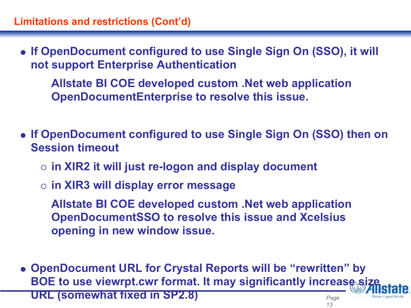## **Limitations and restrictions (Cont'd)**

**If OpenDocument configured to use Single Sign On (SSO), it will not support Enterprise Authentication**

**Allstate BI COE developed custom .Net web application OpenDocumentEnterprise to resolve this issue.** 

- **If OpenDocument configured to use Single Sign On (SSO) then on Session timeout**
	- **in XIR2 it will just re-logon and display document**
	- **in XIR3 will display error message**

**Allstate BI COE developed custom .Net web application OpenDocumentSSO to resolve this issue and Xcelsius opening in new window issue.**

**OpenDocument URL for Crystal Reports will be "rewritten" by BOE to use viewrpt.cwr format. It may significantly increase size** 

**URL (somewhat fixed in SP2.8)**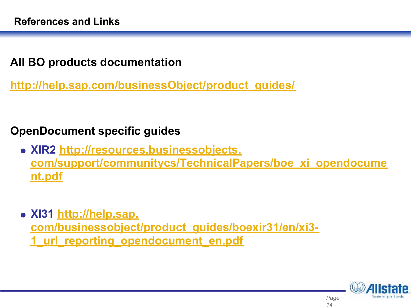# **All BO products documentation**

**[http://help.sap.com/businessObject/product\\_guides/](http://help.sap.com/businessObject/product_guides/)**

# **OpenDocument specific guides**

- **XIR2 [http://resources.businessobjects.](http://resources.businessobjects.com/support/communitycs/TechnicalPapers/boe_xi_opendocument.pdf) [com/support/communitycs/TechnicalPapers/boe\\_xi\\_opendocume](http://resources.businessobjects.com/support/communitycs/TechnicalPapers/boe_xi_opendocument.pdf) [nt.pdf](http://resources.businessobjects.com/support/communitycs/TechnicalPapers/boe_xi_opendocument.pdf)**
- **XI31 [http://help.sap.](http://help.sap.com/businessobject/product_guides/boexir31/en/xi3-1_url_reporting_opendocument_en.pdf) [com/businessobject/product\\_guides/boexir31/en/xi3-](http://help.sap.com/businessobject/product_guides/boexir31/en/xi3-1_url_reporting_opendocument_en.pdf) [1\\_url\\_reporting\\_opendocument\\_en.pdf](http://help.sap.com/businessobject/product_guides/boexir31/en/xi3-1_url_reporting_opendocument_en.pdf)**